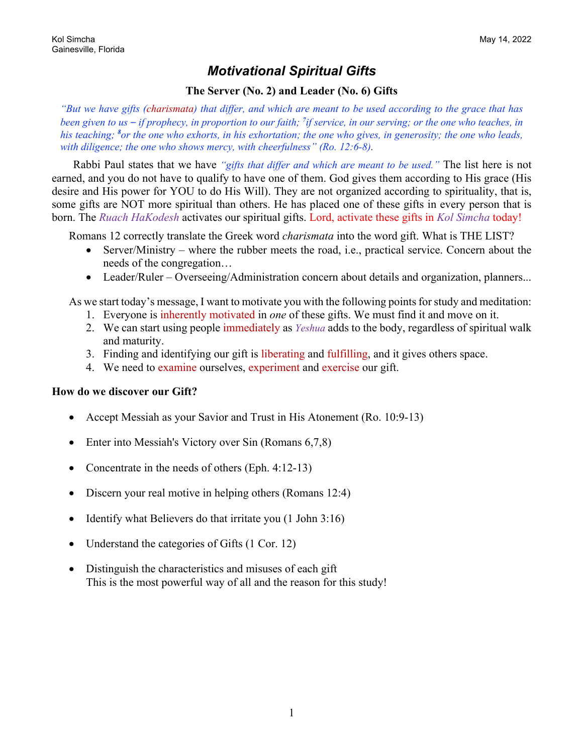### *Motivational Spiritual Gifts*

### **The Server (No. 2) and Leader (No. 6) Gifts**

*"But we have gifts (charismata) that differ, and which are meant to be used according to the grace that has been given to us – if prophecy, in proportion to our faith; <sup>7</sup> if service, in our serving; or the one who teaches, in his teaching; <sup>8</sup> or the one who exhorts, in his exhortation; the one who gives, in generosity; the one who leads, with diligence; the one who shows mercy, with cheerfulness" (Ro. 12:6-8).*

Rabbi Paul states that we have *"gifts that differ and which are meant to be used."* The list here is not earned, and you do not have to qualify to have one of them. God gives them according to His grace (His desire and His power for YOU to do His Will). They are not organized according to spirituality, that is, some gifts are NOT more spiritual than others. He has placed one of these gifts in every person that is born. The *Ruach HaKodesh* activates our spiritual gifts. Lord, activate these gifts in *Kol Simcha* today!

Romans 12 correctly translate the Greek word *charismata* into the word gift. What is THE LIST?

- Server/Ministry where the rubber meets the road, i.e., practical service. Concern about the needs of the congregation…
- Leader/Ruler Overseeing/Administration concern about details and organization, planners...

As we start today's message, I want to motivate you with the following points for study and meditation:

- 1. Everyone is inherently motivated in *one* of these gifts. We must find it and move on it.
- 2. We can start using people immediately as *Yeshua* adds to the body, regardless of spiritual walk and maturity.
- 3. Finding and identifying our gift is liberating and fulfilling, and it gives others space.
- 4. We need to examine ourselves, experiment and exercise our gift.

#### **How do we discover our Gift?**

- Accept Messiah as your Savior and Trust in His Atonement (Ro. 10:9-13)
- Enter into Messiah's Victory over Sin (Romans 6,7,8)
- Concentrate in the needs of others (Eph. 4:12-13)
- Discern your real motive in helping others (Romans 12:4)
- Identify what Believers do that irritate you (1 John 3:16)
- Understand the categories of Gifts (1 Cor. 12)
- Distinguish the characteristics and misuses of each gift This is the most powerful way of all and the reason for this study!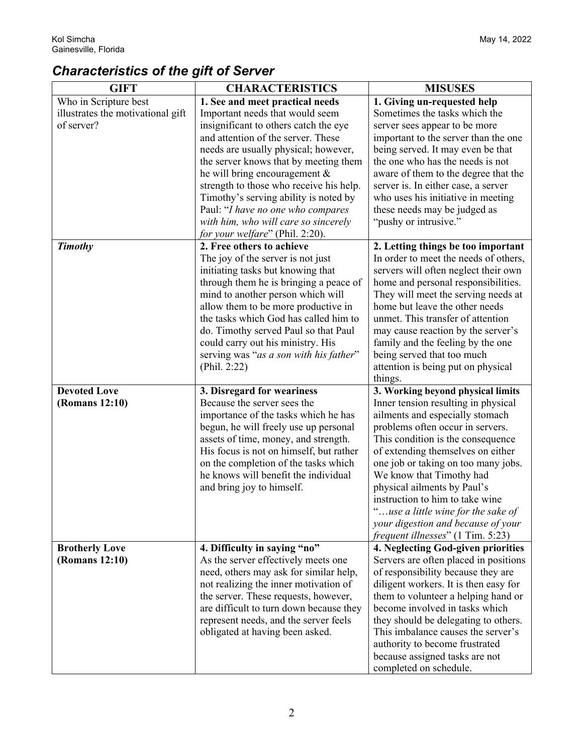# *Characteristics of the gift of Server*

| <b>GIFT</b>                       | <b>CHARACTERISTICS</b>                  | <b>MISUSES</b>                        |
|-----------------------------------|-----------------------------------------|---------------------------------------|
| Who in Scripture best             | 1. See and meet practical needs         | 1. Giving un-requested help           |
| illustrates the motivational gift | Important needs that would seem         | Sometimes the tasks which the         |
| of server?                        | insignificant to others catch the eye   | server sees appear to be more         |
|                                   | and attention of the server. These      | important to the server than the one  |
|                                   | needs are usually physical; however,    | being served. It may even be that     |
|                                   | the server knows that by meeting them   | the one who has the needs is not      |
|                                   | he will bring encouragement $\&$        | aware of them to the degree that the  |
|                                   | strength to those who receive his help. | server is. In either case, a server   |
|                                   | Timothy's serving ability is noted by   | who uses his initiative in meeting    |
|                                   | Paul: "I have no one who compares       | these needs may be judged as          |
|                                   | with him, who will care so sincerely    | "pushy or intrusive."                 |
|                                   | for your welfare" (Phil. 2:20).         |                                       |
| <b>Timothy</b>                    | 2. Free others to achieve               | 2. Letting things be too important    |
|                                   | The joy of the server is not just       | In order to meet the needs of others, |
|                                   | initiating tasks but knowing that       | servers will often neglect their own  |
|                                   | through them he is bringing a peace of  | home and personal responsibilities.   |
|                                   | mind to another person which will       | They will meet the serving needs at   |
|                                   | allow them to be more productive in     | home but leave the other needs        |
|                                   | the tasks which God has called him to   | unmet. This transfer of attention     |
|                                   | do. Timothy served Paul so that Paul    | may cause reaction by the server's    |
|                                   | could carry out his ministry. His       | family and the feeling by the one     |
|                                   | serving was "as a son with his father"  | being served that too much            |
|                                   | (Phil. 2:22)                            | attention is being put on physical    |
|                                   |                                         | things.                               |
| <b>Devoted Love</b>               | 3. Disregard for weariness              | 3. Working beyond physical limits     |
| (Romans 12:10)                    | Because the server sees the             | Inner tension resulting in physical   |
|                                   | importance of the tasks which he has    | ailments and especially stomach       |
|                                   | begun, he will freely use up personal   | problems often occur in servers.      |
|                                   | assets of time, money, and strength.    | This condition is the consequence     |
|                                   | His focus is not on himself, but rather | of extending themselves on either     |
|                                   | on the completion of the tasks which    | one job or taking on too many jobs.   |
|                                   | he knows will benefit the individual    | We know that Timothy had              |
|                                   | and bring joy to himself.               | physical ailments by Paul's           |
|                                   |                                         | instruction to him to take wine       |
|                                   |                                         | "use a little wine for the sake of    |
|                                   |                                         | your digestion and because of your    |
|                                   |                                         | frequent illnesses" (1 Tim. 5:23)     |
| <b>Brotherly Love</b>             | 4. Difficulty in saying "no"            | 4. Neglecting God-given priorities    |
| (Romans 12:10)                    | As the server effectively meets one     | Servers are often placed in positions |
|                                   | need, others may ask for similar help,  | of responsibility because they are    |
|                                   | not realizing the inner motivation of   | diligent workers. It is then easy for |
|                                   | the server. These requests, however,    | them to volunteer a helping hand or   |
|                                   | are difficult to turn down because they | become involved in tasks which        |
|                                   | represent needs, and the server feels   | they should be delegating to others.  |
|                                   | obligated at having been asked.         | This imbalance causes the server's    |
|                                   |                                         | authority to become frustrated        |
|                                   |                                         | because assigned tasks are not        |
|                                   |                                         | completed on schedule.                |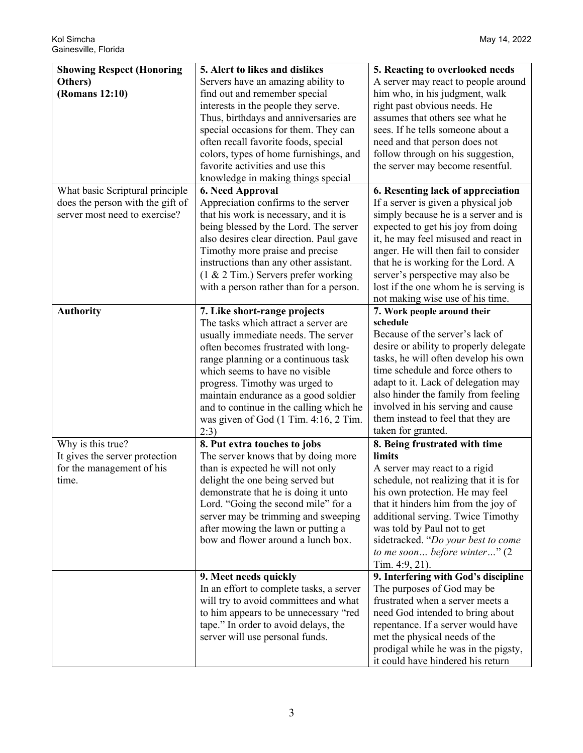| <b>Showing Respect (Honoring</b>                                                                     | 5. Alert to likes and dislikes                                                                                                                                                                                                                                                                                                                                                                    | 5. Reacting to overlooked needs                                                                                                                                                                                                                                                                                                                                                               |
|------------------------------------------------------------------------------------------------------|---------------------------------------------------------------------------------------------------------------------------------------------------------------------------------------------------------------------------------------------------------------------------------------------------------------------------------------------------------------------------------------------------|-----------------------------------------------------------------------------------------------------------------------------------------------------------------------------------------------------------------------------------------------------------------------------------------------------------------------------------------------------------------------------------------------|
| Others)<br>(Romans 12:10)                                                                            | Servers have an amazing ability to<br>find out and remember special<br>interests in the people they serve.<br>Thus, birthdays and anniversaries are<br>special occasions for them. They can<br>often recall favorite foods, special<br>colors, types of home furnishings, and<br>favorite activities and use this<br>knowledge in making things special                                           | A server may react to people around<br>him who, in his judgment, walk<br>right past obvious needs. He<br>assumes that others see what he<br>sees. If he tells someone about a<br>need and that person does not<br>follow through on his suggestion,<br>the server may become resentful.                                                                                                       |
| What basic Scriptural principle<br>does the person with the gift of<br>server most need to exercise? | <b>6. Need Approval</b><br>Appreciation confirms to the server<br>that his work is necessary, and it is<br>being blessed by the Lord. The server<br>also desires clear direction. Paul gave<br>Timothy more praise and precise<br>instructions than any other assistant.<br>(1 & 2 Tim.) Servers prefer working<br>with a person rather than for a person.                                        | 6. Resenting lack of appreciation<br>If a server is given a physical job<br>simply because he is a server and is<br>expected to get his joy from doing<br>it, he may feel misused and react in<br>anger. He will then fail to consider<br>that he is working for the Lord. A<br>server's perspective may also be<br>lost if the one whom he is serving is<br>not making wise use of his time. |
| <b>Authority</b>                                                                                     | 7. Like short-range projects<br>The tasks which attract a server are<br>usually immediate needs. The server<br>often becomes frustrated with long-<br>range planning or a continuous task<br>which seems to have no visible<br>progress. Timothy was urged to<br>maintain endurance as a good soldier<br>and to continue in the calling which he<br>was given of God (1 Tim. 4:16, 2 Tim.<br>2:3) | 7. Work people around their<br>schedule<br>Because of the server's lack of<br>desire or ability to properly delegate<br>tasks, he will often develop his own<br>time schedule and force others to<br>adapt to it. Lack of delegation may<br>also hinder the family from feeling<br>involved in his serving and cause<br>them instead to feel that they are<br>taken for granted.              |
| Why is this true?<br>It gives the server protection<br>for the management of his<br>time.            | 8. Put extra touches to jobs<br>The server knows that by doing more<br>than is expected he will not only<br>delight the one being served but<br>demonstrate that he is doing it unto<br>Lord. "Going the second mile" for a<br>server may be trimming and sweeping<br>after mowing the lawn or putting a<br>bow and flower around a lunch box.                                                    | 8. Being frustrated with time<br>limits<br>A server may react to a rigid<br>schedule, not realizing that it is for<br>his own protection. He may feel<br>that it hinders him from the joy of<br>additional serving. Twice Timothy<br>was told by Paul not to get<br>sidetracked. "Do your best to come<br>to me soon before winter" $(2)$<br>Tim. 4:9, 21).                                   |
|                                                                                                      | 9. Meet needs quickly<br>In an effort to complete tasks, a server<br>will try to avoid committees and what<br>to him appears to be unnecessary "red<br>tape." In order to avoid delays, the<br>server will use personal funds.                                                                                                                                                                    | 9. Interfering with God's discipline<br>The purposes of God may be<br>frustrated when a server meets a<br>need God intended to bring about<br>repentance. If a server would have<br>met the physical needs of the<br>prodigal while he was in the pigsty,<br>it could have hindered his return                                                                                                |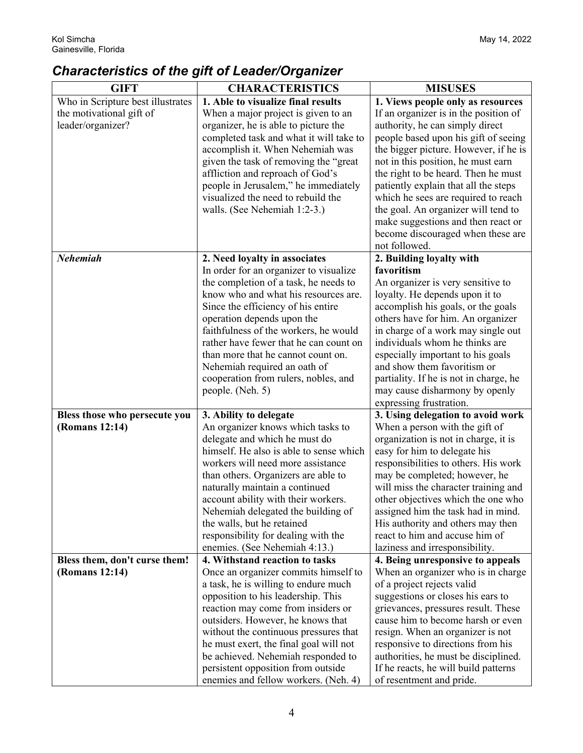## *Characteristics of the gift of Leader/Organizer*

| <b>GIFT</b>                                     | <b>CHARACTERISTICS</b>                                      | <b>MISUSES</b>                                                      |
|-------------------------------------------------|-------------------------------------------------------------|---------------------------------------------------------------------|
| Who in Scripture best illustrates               | 1. Able to visualize final results                          | 1. Views people only as resources                                   |
| the motivational gift of                        | When a major project is given to an                         | If an organizer is in the position of                               |
| leader/organizer?                               | organizer, he is able to picture the                        | authority, he can simply direct                                     |
|                                                 | completed task and what it will take to                     | people based upon his gift of seeing                                |
|                                                 | accomplish it. When Nehemiah was                            | the bigger picture. However, if he is                               |
|                                                 | given the task of removing the "great                       | not in this position, he must earn                                  |
|                                                 | affliction and reproach of God's                            | the right to be heard. Then he must                                 |
|                                                 | people in Jerusalem," he immediately                        | patiently explain that all the steps                                |
|                                                 | visualized the need to rebuild the                          | which he sees are required to reach                                 |
|                                                 | walls. (See Nehemiah 1:2-3.)                                | the goal. An organizer will tend to                                 |
|                                                 |                                                             | make suggestions and then react or                                  |
|                                                 |                                                             | become discouraged when these are                                   |
|                                                 |                                                             | not followed.                                                       |
| <b>Nehemiah</b>                                 | 2. Need loyalty in associates                               | 2. Building loyalty with                                            |
|                                                 | In order for an organizer to visualize                      | favoritism                                                          |
|                                                 | the completion of a task, he needs to                       | An organizer is very sensitive to                                   |
|                                                 | know who and what his resources are.                        | loyalty. He depends upon it to                                      |
|                                                 | Since the efficiency of his entire                          | accomplish his goals, or the goals                                  |
|                                                 | operation depends upon the                                  | others have for him. An organizer                                   |
|                                                 | faithfulness of the workers, he would                       | in charge of a work may single out                                  |
|                                                 | rather have fewer that he can count on                      | individuals whom he thinks are                                      |
|                                                 | than more that he cannot count on.                          | especially important to his goals                                   |
|                                                 | Nehemiah required an oath of                                | and show them favoritism or                                         |
|                                                 | cooperation from rulers, nobles, and                        | partiality. If he is not in charge, he                              |
|                                                 | people. (Neh. 5)                                            | may cause disharmony by openly                                      |
|                                                 |                                                             | expressing frustration.                                             |
| Bless those who persecute you<br>(Romans 12:14) | 3. Ability to delegate<br>An organizer knows which tasks to | 3. Using delegation to avoid work<br>When a person with the gift of |
|                                                 | delegate and which he must do                               | organization is not in charge, it is                                |
|                                                 | himself. He also is able to sense which                     | easy for him to delegate his                                        |
|                                                 | workers will need more assistance                           | responsibilities to others. His work                                |
|                                                 | than others. Organizers are able to                         | may be completed; however, he                                       |
|                                                 | naturally maintain a continued                              | will miss the character training and                                |
|                                                 | account ability with their workers.                         | other objectives which the one who                                  |
|                                                 | Nehemiah delegated the building of                          | assigned him the task had in mind.                                  |
|                                                 | the walls, but he retained                                  | His authority and others may then                                   |
|                                                 | responsibility for dealing with the                         | react to him and accuse him of                                      |
|                                                 | enemies. (See Nehemiah 4:13.)                               | laziness and irresponsibility.                                      |
| Bless them, don't curse them!                   | 4. Withstand reaction to tasks                              | 4. Being unresponsive to appeals                                    |
| (Romans 12:14)                                  | Once an organizer commits himself to                        | When an organizer who is in charge                                  |
|                                                 | a task, he is willing to endure much                        | of a project rejects valid                                          |
|                                                 | opposition to his leadership. This                          | suggestions or closes his ears to                                   |
|                                                 | reaction may come from insiders or                          | grievances, pressures result. These                                 |
|                                                 | outsiders. However, he knows that                           | cause him to become harsh or even                                   |
|                                                 | without the continuous pressures that                       | resign. When an organizer is not                                    |
|                                                 | he must exert, the final goal will not                      | responsive to directions from his                                   |
|                                                 | be achieved. Nehemiah responded to                          | authorities, he must be disciplined.                                |
|                                                 | persistent opposition from outside                          | If he reacts, he will build patterns                                |
|                                                 | enemies and fellow workers. (Neh. 4)                        | of resentment and pride.                                            |